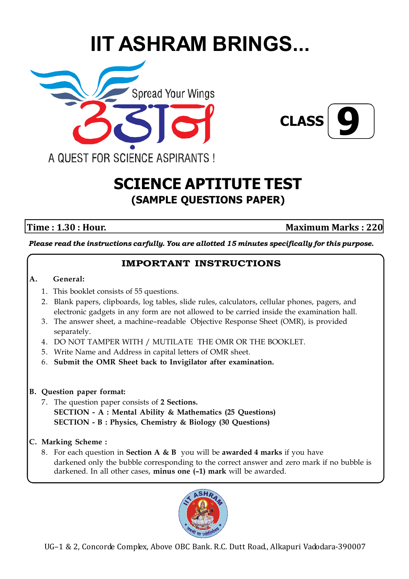# **IIT ASHRAM BRINGS...**





# **SCIENCE APTITUTE TEST (SAMPLE QUESTIONS PAPER)**

**Time : 1.30 : Hour.** Maximum Marks : 220

*Please read the instructions carfully. You are allotted 15 minutes specifically for this purpose.*

# **IMPORTANT INSTRUCTIONS**

#### **A. General:**

- 1. This booklet consists of 55 questions.
- 2. Blank papers, clipboards, log tables, slide rules, calculators, cellular phones, pagers, and electronic gadgets in any form are not allowed to be carried inside the examination hall.
- 3. The answer sheet, a machine–readable Objective Response Sheet (OMR), is provided separately.
- 4. DO NOT TAMPER WITH / MUTILATE THE OMR OR THE BOOKLET.
- 5. Write Name and Address in capital letters of OMR sheet.
- 6. **Submit the OMR Sheet back to Invigilator after examination.**

### **B. Question paper format:**

- 7. The question paper consists of **2 Sections. SECTION - A : Mental Ability & Mathematics (25 Questions) SECTION - B : Physics, Chemistry & Biology (30 Questions)**
- **C. Marking Scheme :**
	- 8. For each question in **Section A & B** you will be **awarded 4 marks** if you have darkened only the bubble corresponding to the correct answer and zero mark if no bubble is darkened. In all other cases, **minus one (–1) mark** will be awarded.

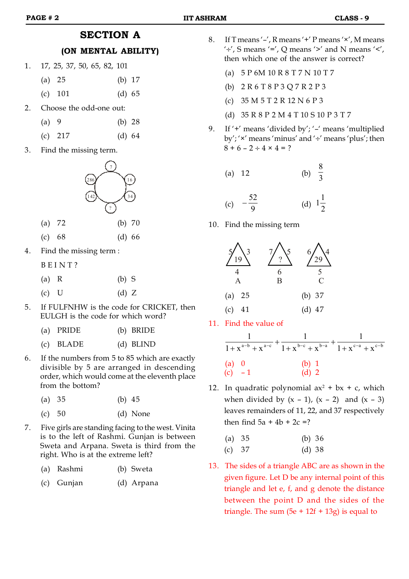#### **PAGE # 2 IIT ASHRAM CLASS - 9**

## **SECTION A**

#### **(ON MENTAL ABILITY)**

- 1. 17, 25, 37, 50, 65, 82, 101 (a) 25 (b) 17
	- (c) 101 (d) 65
- 2. Choose the odd-one out:
	- (a) 9 (b) 28
	- (c) 217 (d) 64
- 3. Find the missing term.



- (c) 68 (d) 66
- 4. Find the missing term :

B E I N T ?

- (a) R (b) S
- (c) U  $\qquad \qquad$  (d) Z
- 5. If FULFNHW is the code for CRICKET, then EULGH is the code for which word?
	- (a) PRIDE (b) BRIDE
	- (c) BLADE (d) BLIND
- 6. If the numbers from 5 to 85 which are exactly divisible by 5 are arranged in descending order, which would come at the eleventh place from the bottom?
	- (a) 35 (b) 45
	- (c) 50 (d) None
- 7. Five girls are standing facing to the west. Vinita is to the left of Rashmi. Gunjan is between Sweta and Arpana. Sweta is third from the right. Who is at the extreme left?
	- (a) Rashmi (b) Sweta
	- (c) Gunjan (d) Arpana
- 8. If T means  $\frac{1}{2}$ , R means  $\frac{1}{2}$  P means  $\frac{1}{2}$ , M means  $'$ :  $'$ ,  $'$ ,  $'$  means  $'$  =',  $Q$  means  $'$   $>$ ' and  $N$  means  $'$   $<'$ , then which one of the answer is correct?
	- (a) 5 P 6M 10 R 8 T 7 N 10 T 7
	- (b) 2 R 6 T 8 P 3 Q 7 R 2 P 3
	- (c) 35 M 5 T 2 R 12 N 6 P 3
	- (d) 35 R 8 P 2 M 4 T 10 S 10 P 3 T 7
- 9. If '+' means 'divided by'; '–' means 'multiplied by'; ' $\times$ ' means 'minus' and ' $\div$ ' means 'plus'; then  $8 + 6 - 2 \div 4 \times 4 = ?$ 
	- (a) 12 (b)  $\frac{1}{3}$ 8

(c) 
$$
-\frac{52}{9}
$$
 (d)  $1\frac{1}{2}$ 

10. Find the missing term



11. Find the value of

|          | $1 + x^{a-b} + x^{a-c}$ + $1 + x^{b-c} + x^{b-a}$ + $1 + x^{c-a} + x^{c-b}$ |  |
|----------|-----------------------------------------------------------------------------|--|
| (a) 0    | $(b)$ 1                                                                     |  |
| (c) $-1$ | $(d)$ 2                                                                     |  |

12. In quadratic polynomial  $ax^2 + bx + c$ , which when divided by  $(x - 1)$ ,  $(x - 2)$  and  $(x - 3)$ leaves remainders of 11, 22, and 37 respectively then find  $5a + 4b + 2c = ?$ 

| (a) $35$ | (b) $36$ |  |
|----------|----------|--|
| (c) 37   | (d) 38   |  |

13. The sides of a triangle ABC are as shown in the given figure. Let D be any internal point of this triangle and let e, f, and g denote the distance between the point D and the sides of the triangle. The sum  $(5e + 12f + 13g)$  is equal to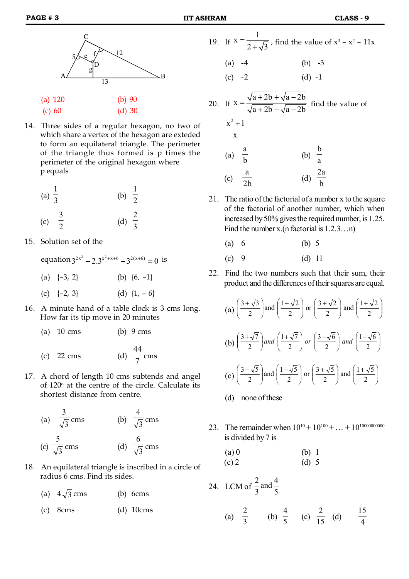



(a) 120 (b) 90

(c) 60 (d) 30

14. Three sides of a regular hexagon, no two of which share a vertex of the hexagon are exteded to form an equilateral triangle. The perimeter of the triangle thus formed is p times the perimeter of the original hexagon where p equals

(a) 
$$
\frac{1}{3}
$$
 (b)  $\frac{1}{2}$   
(c)  $\frac{3}{2}$  (d)  $\frac{2}{3}$ 

- 15. Solution set of the
	- equation  $3^{2x^2} 2 \cdot 3^{x^2 + x + 6} + 3^{2(x+6)} = 0$  is (a)  $\{-3, 2\}$  (b)  $\{6, -1\}$ (c)  $\{-2, 3\}$  (d)  $\{1, -6\}$
- 16. A minute hand of a table clock is 3 cms long. How far its tip move in 20 minutes

| (a) $10 \text{ cms}$ | $(b)$ 9 cms |
|----------------------|-------------|
|                      |             |

- $(c)$  22 cms 44 cms
- 17. A chord of length 10 cms subtends and angel of  $120^{\circ}$  at the centre of the circle. Calculate its shortest distance from centre.

(a) 
$$
\frac{3}{\sqrt{3}} \text{cms}
$$
 (b)  $\frac{4}{\sqrt{3}} \text{cms}$   
(c)  $\frac{5}{\sqrt{3}} \text{cms}$  (d)  $\frac{6}{\sqrt{3}} \text{cms}$ 

18. An equilateral triangle is inscribed in a circle of radius 6 cms. Find its sides.

|  | (a) $4\sqrt{3}$ cms |  | $(b)$ 6cms |
|--|---------------------|--|------------|
|--|---------------------|--|------------|

(c) 8cms (d) 10cms

- 19. If  $x = \frac{1}{1}$  $2 + \sqrt{3}$  $=$  $\sqrt{3}$ , find the value of  $x^3 - x^2 - 11x$ (a)  $-4$  (b)  $-3$  $(c) -2$  (d) -1  $x = \frac{\sqrt{a+2b} + \sqrt{a-2b}}{\sqrt{a^2 + 2b^2}}$  $=\frac{\sqrt{a+2b}+\sqrt{a-2}}{\sqrt{a^2+2b^2}}$
- 20. If  $a + 2b - \sqrt{a} - 2b$  $\frac{1}{x+2b} - \sqrt{a-2b}$  find the value of  $x^2 + 1$ x  $^{+}$ (a) a b (b) b a (c) a  $\overline{2b}$  (d) 2a b
- 21. The ratio of the factorial of a number x to the square of the factorial of another number, which when increased by 50% gives the required number, is 1.25. Find the number x. (n factorial is  $1.2.3...n$ )
	- (a)  $6$  (b)  $5$
	- (c) 9 (d) 11
- 22. Find the two numbers such that their sum, their product and the differences of their squares are equal.

(a) 
$$
\left(\frac{3+\sqrt{3}}{2}\right)
$$
 and  $\left(\frac{1+\sqrt{2}}{2}\right)$  or  $\left(\frac{3+\sqrt{2}}{2}\right)$  and  $\left(\frac{1+\sqrt{2}}{2}\right)$   
\n(b)  $\left(\frac{3+\sqrt{7}}{2}\right)$  and  $\left(\frac{1+\sqrt{7}}{2}\right)$  or  $\left(\frac{3+\sqrt{6}}{2}\right)$  and  $\left(\frac{1-\sqrt{6}}{2}\right)$   
\n(c)  $\left(\frac{3-\sqrt{5}}{2}\right)$  and  $\left(\frac{1-\sqrt{5}}{2}\right)$  or  $\left(\frac{3+\sqrt{5}}{2}\right)$  and  $\left(\frac{1+\sqrt{5}}{2}\right)$ 

- (d) none of these
- 23. The remainder when  $10^{10} + 10^{100} + ... + 10^{10000000000}$ is divided by 7 is

(a) 0 (b) 1 (c) 2 (d) 5

24. LCM of  $\frac{1}{3}$  and  $\frac{1}{5}$ and  $\frac{4}{7}$ 3 2

> (a)  $\frac{1}{3}$ 2 (b)  $\frac{1}{5}$ 4 (c)  $\frac{-}{15}$ 2 (d) 15 4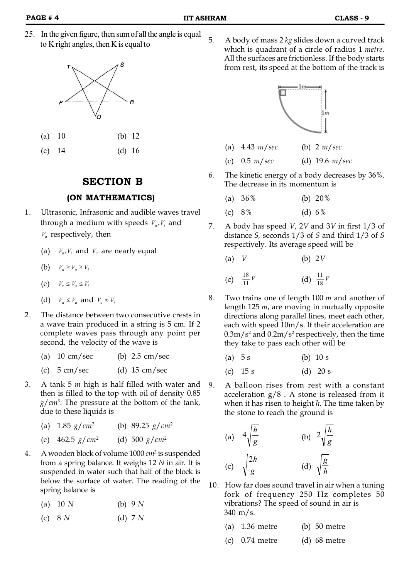25. In the given figure, then sum of all the angle is equal to K right angles, then K is equal to



(c)  $14$  (d)  $16$ 

#### **SECTION B**

#### **(ON MATHEMATICS)**

- 1. Ultrasonic, Infrasonic and audible waves travel through a medium with speeds  $V_u, V_i$  and *Va* respectively, then
	- (a)  $V_u$ ,  $V_i$  and  $V_a$  are nearly equal
	- (b)  $V_u \geq V_a \geq V_i$
	- $V_u \leq V_a \leq V_i$
	- (d)  $V_a \leq V_u$  and  $V_u \approx V_i$
- 2. The distance between two consecutive crests in a wave train produced in a string is 5 cm. If 2 complete waves pass through any point per second, the velocity of the wave is
	- (a)  $10 \text{ cm/sec}$  (b)  $2.5 \text{ cm/sec}$
	- (c)  $5 \text{ cm/sec}$  (d)  $15 \text{ cm/sec}$
- 3. A tank 5 *m* high is half filled with water and then is filled to the top with oil of density 0.85 *g*/*cm*<sup>3</sup> . The pressure at the bottom of the tank, due to these liquids is
	- (a) 1.85 *g*/*cm*<sup>2</sup> (b) 89.25 *g*/*cm*<sup>2</sup>
	- (c) 462.5 *g*/*cm*<sup>2</sup> (d) 500 *g*/*cm*<sup>2</sup>
- 4. A wooden block of volume 1000 *cm*<sup>3</sup> is suspended from a spring balance. It weighs 12 *N* in air. It is suspended in water such that half of the block is below the surface of water. The reading of the spring balance is
	- (a) 10 *N* (b) 9 *N*
	- (c) 8 *N* (d) 7 *N*

5. A body of mass 2 *kg* slides down a curved track which is quadrant of a circle of radius 1 *metre*. All the surfaces are frictionless. If the body starts from rest, its speed at the bottom of the track is



- (a) 4.43 *m*/*sec* (b) 2 *m*/*sec*
- (c) 0.5 *m*/*sec* (d) 19.6 *m*/*sec*
- 6. The kinetic energy of a body decreases by 36%. The decrease in its momentum is

| (a) $36\%$ | (b) $20\%$ |
|------------|------------|
|            |            |

- (c) 8% (d) 6%
- 7. A body has speed *V*, 2*V* and 3*V* in first 1/3 of distance *S,* seconds 1/3 of *S* and third 1/3 of *S* respectively. Its average speed will be
	- (a) *V* (b) 2*V*

(c) 
$$
\frac{18}{11}V
$$
 (d)  $\frac{11}{18}V$ 

- 8. Two trains one of length 100 *m* and another of length 125 *m*, are moving in mutually opposite directions along parallel lines, meet each other, each with speed 10m/s. If their acceleration are  $0.3 \text{m/s}^2$  and  $0.2 \text{m/s}^2$  respectively, then the time they take to pass each other will be
	- (a)  $5 s$  (b)  $10 s$
	- (c)  $15 s$  (d)  $20 s$
- 9. A balloon rises from rest with a constant acceleration g/8 . A stone is released from it when it has risen to height *h.* The time taken by the stone to reach the ground is

(a) 
$$
4\sqrt{\frac{h}{g}}
$$
 (b)  $2\sqrt{\frac{h}{g}}$   
(c)  $\sqrt{\frac{2h}{g}}$  (d)  $\sqrt{\frac{g}{h}}$ 

- 10. How far does sound travel in air when a tuning fork of frequency 250 Hz completes 50 vibrations? The speed of sound in air is 340 m/s.
	- (a) 1.36 metre (b) 50 metre
	- (c)  $0.74$  metre (d)  $68$  metre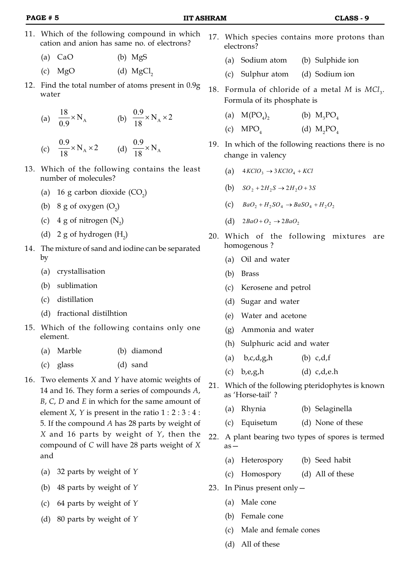- 11. Which of the following compound in which cation and anion has same no. of electrons?
	- (a) CaO (b) MgS
	- (c)  $MgO$  (d)  $MgCl<sub>2</sub>$
- 12. Find the total number of atoms present in 0.9g water

(a) 
$$
\frac{18}{0.9} \times N_A
$$
 (b)  $\frac{0.9}{18} \times N_A \times 2$ 

(c) 
$$
\frac{0.9}{18} \times N_A \times 2
$$
 (d)  $\frac{0.9}{18} \times N_A$ 

- 13. Which of the following contains the least number of molecules?
	- (a) 16 g carbon dioxide  $(CO_2)$
	- (b)  $8 \text{ g of oxygen } (O_2)$
	- (c)  $4 \text{ g of nitrogen (N}_2)$
	- (d)  $2 g$  of hydrogen  $(H_2)$
- 14. The mixture of sand and iodine can be separated by
	- (a) crystallisation
	- (b) sublimation
	- (c) distillation
	- (d) fractional distilhtion
- 15. Which of the following contains only one element.
	- (a) Marble (b) diamond
	- (c) glass (d) sand
- 16. Two elements *X* and *Y* have atomic weights of 14 and 16. They form a series of compounds *A*, *B*, *C*, *D* and *E* in which for the same amount of element *X*, *Y* is present in the ratio  $1: 2:3:4:$ 5. If the compound *A* has 28 parts by weight of *X* and 16 parts by weight of *Y*, then the compound of *C* will have 28 parts weight of *X* and
	- (a) 32 parts by weight of *Y*
	- (b) 48 parts by weight of *Y*
	- (c) 64 parts by weight of *Y*
	- (d) 80 parts by weight of *Y*
- 17. Which species contains more protons than electrons?
	- (a) Sodium atom (b) Sulphide ion
	- (c) Sulphur atom (d) Sodium ion
- 18. Formula of chloride of a metal  $M$  is  $MCl<sub>3</sub>$ . Formula of its phosphate is
	- (a)  $M(PO<sub>4</sub>)<sub>2</sub>$ (b)  $M_3PO_4$
	- $(c)$  MPO<sub>4</sub> (d)  $M_2PO_4$
- 19. In which of the following reactions there is no change in valency
	- (a)  $4KClO_3 \rightarrow 3KClO_4 + KCl$
	- (b)  $SO_2 + 2H_2S \rightarrow 2H_2O + 3S$
	- (c)  $BaO<sub>2</sub> + H<sub>2</sub>SO<sub>4</sub> \rightarrow BaSO<sub>4</sub> + H<sub>2</sub>O<sub>2</sub>$
	- (d)  $2BaO+O_2 \rightarrow 2BaO_2$
- 20. Which of the following mixtures are homogenous ?
	- (a) Oil and water
	- (b) Brass
	- (c) Kerosene and petrol
	- (d) Sugar and water
	- (e) Water and acetone
	- (g) Ammonia and water
	- (h) Sulphuric acid and water
	- (a)  $b, c, d, g, h$  (b)  $c, d, f$
	- $(c)$  b,e,g,h  $(d)$  c,d,e.h
- 21. Which of the following pteridophytes is known as 'Horse-tail' ?
	- (a) Rhynia (b) Selaginella
	- (c) Equisetum (d) None of these
- 22. A plant bearing two types of spores is termed as—
	- (a) Heterospory (b) Seed habit
	- (c) Homospory (d) All of these
- 23. In Pinus present only—
	- (a) Male cone
	- (b) Female cone
	- (c) Male and female cones
	- (d) All of these